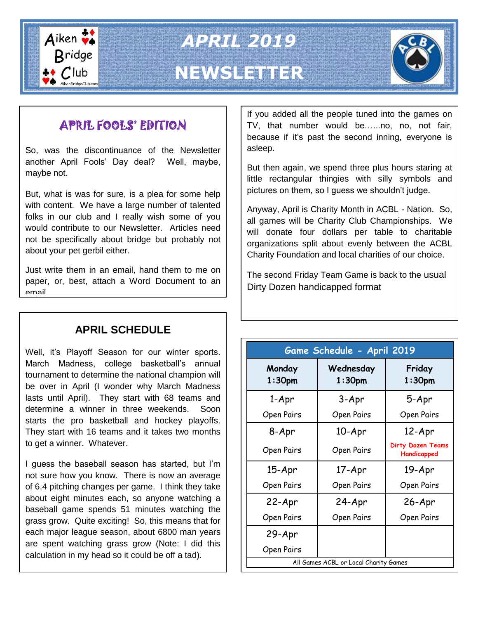

*APRIL 2019* **NEWSLETTER**



# APRIL FOOLS' EDITION

So, was the discontinuance of the Newsletter another April Fools' Day deal? Well, maybe, maybe not.

But, what is was for sure, is a plea for some help with content. We have a large number of talented folks in our club and I really wish some of you would contribute to our Newsletter. Articles need not be specifically about bridge but probably not about your pet gerbil either.

Just write them in an email, hand them to me on paper, or, best, attach a Word Document to an email.

## **APRIL SCHEDULE**

Well, it's Playoff Season for our winter sports. March Madness, college basketball's annual tournament to determine the national champion will be over in April (I wonder why March Madness lasts until April). They start with 68 teams and determine a winner in three weekends. Soon starts the pro basketball and hockey playoffs. They start with 16 teams and it takes two months to get a winner. Whatever.

I guess the baseball season has started, but I'm not sure how you know. There is now an average of 6.4 pitching changes per game. I think they take about eight minutes each, so anyone watching a baseball game spends 51 minutes watching the grass grow. Quite exciting! So, this means that for each major league season, about 6800 man years are spent watching grass grow (Note: I did this calculation in my head so it could be off a tad).

If you added all the people tuned into the games on TV, that number would be…...no, no, not fair, because if it's past the second inning, everyone is asleep.

But then again, we spend three plus hours staring at little rectangular thingies with silly symbols and pictures on them, so I guess we shouldn't judge.

Anyway, April is Charity Month in ACBL - Nation. So, all games will be Charity Club Championships. We will donate four dollars per table to charitable organizations split about evenly between the ACBL Charity Foundation and local charities of our choice.

The second Friday Team Game is back to the usual Dirty Dozen handicapped format

| Game Schedule - April 2019            |                        |                                         |
|---------------------------------------|------------------------|-----------------------------------------|
| Monday<br>1:30 <sub>pm</sub>          | Wednesday<br>$1:30$ pm | Friday<br>1:30 <sub>pm</sub>            |
| 1-Apr                                 | 3-Apr                  | 5-Apr                                   |
| Open Pairs                            | Open Pairs             | Open Pairs                              |
| 8-Apr                                 | 10-Apr                 | 12-Apr                                  |
| Open Pairs                            | Open Pairs             | <b>Dirty Dozen Teams</b><br>Handicapped |
| $15 - Apr$                            | 17-Apr                 | 19-Apr                                  |
| Open Pairs                            | Open Pairs             | Open Pairs                              |
| 22-Apr                                | 24-Apr                 | 26-Apr                                  |
| Open Pairs                            | Open Pairs             | Open Pairs                              |
| 29-Apr                                |                        |                                         |
| Open Pairs                            |                        |                                         |
| All Games ACBL or Local Charity Games |                        |                                         |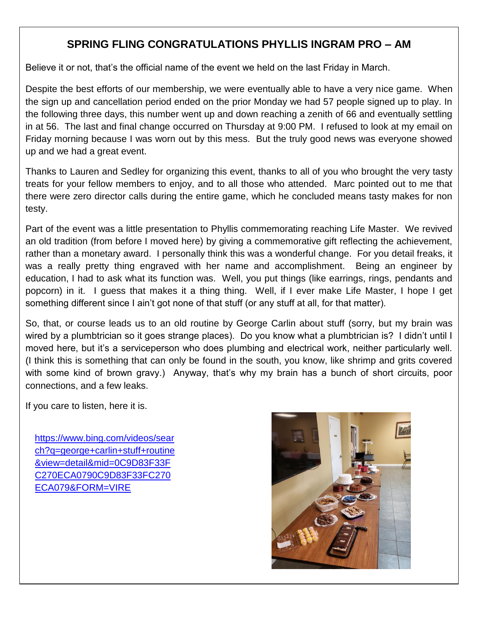### **SPRING FLING CONGRATULATIONS PHYLLIS INGRAM PRO – AM**

Believe it or not, that's the official name of the event we held on the last Friday in March.

Despite the best efforts of our membership, we were eventually able to have a very nice game. When the sign up and cancellation period ended on the prior Monday we had 57 people signed up to play. In the following three days, this number went up and down reaching a zenith of 66 and eventually settling in at 56. The last and final change occurred on Thursday at 9:00 PM. I refused to look at my email on Friday morning because I was worn out by this mess. But the truly good news was everyone showed up and we had a great event.

Thanks to Lauren and Sedley for organizing this event, thanks to all of you who brought the very tasty treats for your fellow members to enjoy, and to all those who attended. Marc pointed out to me that there were zero director calls during the entire game, which he concluded means tasty makes for non testy.

Part of the event was a little presentation to Phyllis commemorating reaching Life Master. We revived an old tradition (from before I moved here) by giving a commemorative gift reflecting the achievement, rather than a monetary award. I personally think this was a wonderful change. For you detail freaks, it was a really pretty thing engraved with her name and accomplishment. Being an engineer by education, I had to ask what its function was. Well, you put things (like earrings, rings, pendants and popcorn) in it. I guess that makes it a thing thing. Well, if I ever make Life Master, I hope I get something different since I ain't got none of that stuff (or any stuff at all, for that matter).

So, that, or course leads us to an old routine by George Carlin about stuff (sorry, but my brain was wired by a plumbtrician so it goes strange places). Do you know what a plumbtrician is? I didn't until I moved here, but it's a serviceperson who does plumbing and electrical work, neither particularly well. (I think this is something that can only be found in the south, you know, like shrimp and grits covered with some kind of brown gravy.) Anyway, that's why my brain has a bunch of short circuits, poor connections, and a few leaks.

If you care to listen, here it is.

[https://www.bing.com/videos/sear](https://www.bing.com/videos/search?q=george+carlin+stuff+routine&view=detail&mid=0C9D83F33FC270ECA0790C9D83F33FC270ECA079&FORM=VIRE) [ch?q=george+carlin+stuff+routine](https://www.bing.com/videos/search?q=george+carlin+stuff+routine&view=detail&mid=0C9D83F33FC270ECA0790C9D83F33FC270ECA079&FORM=VIRE) [&view=detail&mid=0C9D83F33F](https://www.bing.com/videos/search?q=george+carlin+stuff+routine&view=detail&mid=0C9D83F33FC270ECA0790C9D83F33FC270ECA079&FORM=VIRE) [C270ECA0790C9D83F33FC270](https://www.bing.com/videos/search?q=george+carlin+stuff+routine&view=detail&mid=0C9D83F33FC270ECA0790C9D83F33FC270ECA079&FORM=VIRE) [ECA079&FORM=VIRE](https://www.bing.com/videos/search?q=george+carlin+stuff+routine&view=detail&mid=0C9D83F33FC270ECA0790C9D83F33FC270ECA079&FORM=VIRE)

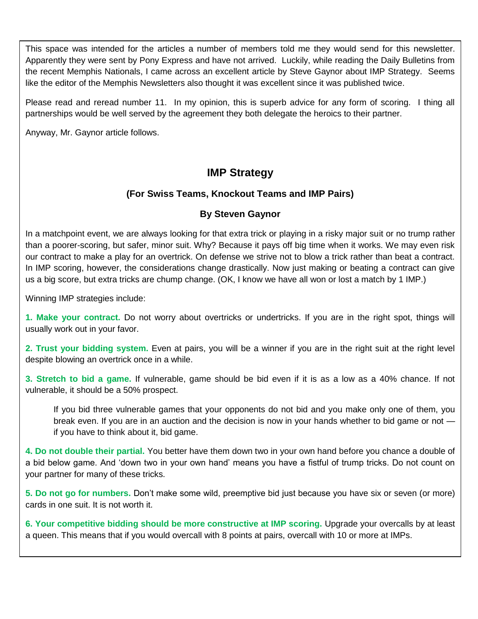This space was intended for the articles a number of members told me they would send for this newsletter. Apparently they were sent by Pony Express and have not arrived. Luckily, while reading the Daily Bulletins from the recent Memphis Nationals, I came across an excellent article by Steve Gaynor about IMP Strategy. Seems like the editor of the Memphis Newsletters also thought it was excellent since it was published twice.

Please read and reread number 11. In my opinion, this is superb advice for any form of scoring. I thing all partnerships would be well served by the agreement they both delegate the heroics to their partner.

Anyway, Mr. Gaynor article follows.

#### **IMP Strategy**

#### **(For Swiss Teams, Knockout Teams and IMP Pairs)**

#### **By Steven Gaynor**

In a matchpoint event, we are always looking for that extra trick or playing in a risky major suit or no trump rather than a poorer-scoring, but safer, minor suit. Why? Because it pays off big time when it works. We may even risk our contract to make a play for an overtrick. On defense we strive not to blow a trick rather than beat a contract. In IMP scoring, however, the considerations change drastically. Now just making or beating a contract can give us a big score, but extra tricks are chump change. (OK, I know we have all won or lost a match by 1 IMP.)

Winning IMP strategies include:

**1. Make your contract.** Do not worry about overtricks or undertricks. If you are in the right spot, things will usually work out in your favor.

**2. Trust your bidding system.** Even at pairs, you will be a winner if you are in the right suit at the right level despite blowing an overtrick once in a while.

**3. Stretch to bid a game.** If vulnerable, game should be bid even if it is as a low as a 40% chance. If not vulnerable, it should be a 50% prospect.

If you bid three vulnerable games that your opponents do not bid and you make only one of them, you break even. If you are in an auction and the decision is now in your hands whether to bid game or not if you have to think about it, bid game.

**4. Do not double their partial.** You better have them down two in your own hand before you chance a double of a bid below game. And 'down two in your own hand' means you have a fistful of trump tricks. Do not count on your partner for many of these tricks.

**5. Do not go for numbers.** Don't make some wild, preemptive bid just because you have six or seven (or more) cards in one suit. It is not worth it.

**6. Your competitive bidding should be more constructive at IMP scoring. Upgrade your overcalls by at least** a queen. This means that if you would overcall with 8 points at pairs, overcall with 10 or more at IMPs.